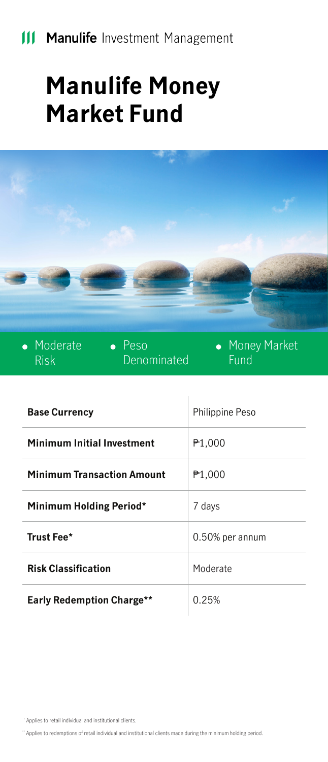### **III Manulife Investment Management**

# **Manulife Money Market Fund**



| <b>Base Currency</b>              | Philippine Peso    |
|-----------------------------------|--------------------|
| Minimum Initial Investment        | P <sub>1,000</sub> |
| <b>Minimum Transaction Amount</b> | P1,000             |
| Minimum Holding Period*           | 7 days             |
| Trust Fee*                        | 0.50% per annum    |
| <b>Risk Classification</b>        | Moderate           |
| <b>Early Redemption Charge**</b>  | 0.25%              |

\* Applies to retail individual and institutional clients.

\*\* Applies to redemptions of retail individual and institutional clients made during the minimum holding period.